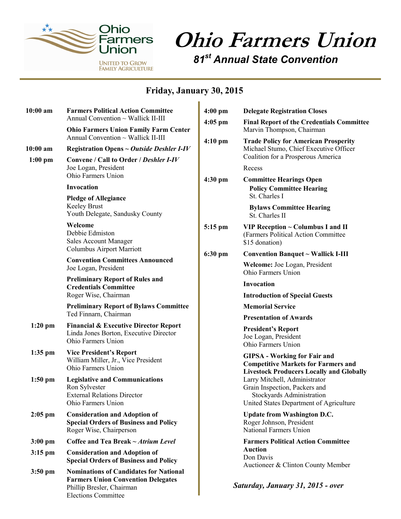

## **Ohio Farmers Union**

*81st Annual State Convention*

## **Friday, January 30, 2015**

ń

| $10:00$ am<br>$10:00$ am<br>$1:00$ pm | <b>Farmers Political Action Committee</b><br>Annual Convention ~ Wallick II-III<br><b>Ohio Farmers Union Family Farm Center</b><br>Annual Convention $\sim$ Wallick II-III<br>Registration Opens $\sim$ Outside Deshler I-IV<br>Convene / Call to Order / Deshler I-IV<br>Joe Logan, President<br>Ohio Farmers Union | $4:00$ pm                                                                                                                            | <b>Delegate Registration Closes</b>                                                                                                    |  |
|---------------------------------------|----------------------------------------------------------------------------------------------------------------------------------------------------------------------------------------------------------------------------------------------------------------------------------------------------------------------|--------------------------------------------------------------------------------------------------------------------------------------|----------------------------------------------------------------------------------------------------------------------------------------|--|
|                                       |                                                                                                                                                                                                                                                                                                                      | $4:05$ pm<br>4:10 pm                                                                                                                 | <b>Final Report of the Credentials Committee</b><br>Marvin Thompson, Chairman                                                          |  |
|                                       |                                                                                                                                                                                                                                                                                                                      |                                                                                                                                      | <b>Trade Policy for American Prosperity</b><br>Michael Stumo, Chief Executive Officer<br>Coalition for a Prosperous America            |  |
|                                       |                                                                                                                                                                                                                                                                                                                      |                                                                                                                                      | Recess                                                                                                                                 |  |
|                                       | <b>Invocation</b>                                                                                                                                                                                                                                                                                                    | $4:30$ pm                                                                                                                            | <b>Committee Hearings Open</b><br><b>Policy Committee Hearing</b><br>St. Charles I                                                     |  |
|                                       | <b>Pledge of Allegiance</b><br><b>Keeley Brust</b><br>Youth Delegate, Sandusky County                                                                                                                                                                                                                                |                                                                                                                                      | <b>Bylaws Committee Hearing</b><br>St. Charles II                                                                                      |  |
|                                       | Welcome<br>Debbie Edmiston<br><b>Sales Account Manager</b><br>Columbus Airport Marriott                                                                                                                                                                                                                              | 5:15 pm                                                                                                                              | VIP Reception ~ Columbus I and II<br>(Farmers Political Action Committee<br>\$15 donation)                                             |  |
|                                       | <b>Convention Committees Announced</b><br>Joe Logan, President<br><b>Preliminary Report of Rules and</b><br><b>Credentials Committee</b><br>Roger Wise, Chairman                                                                                                                                                     | 6:30 pm                                                                                                                              | <b>Convention Banquet ~ Wallick I-III</b>                                                                                              |  |
|                                       |                                                                                                                                                                                                                                                                                                                      |                                                                                                                                      | Welcome: Joe Logan, President<br>Ohio Farmers Union                                                                                    |  |
|                                       |                                                                                                                                                                                                                                                                                                                      |                                                                                                                                      | Invocation                                                                                                                             |  |
|                                       |                                                                                                                                                                                                                                                                                                                      |                                                                                                                                      | <b>Introduction of Special Guests</b>                                                                                                  |  |
|                                       | <b>Preliminary Report of Bylaws Committee</b>                                                                                                                                                                                                                                                                        |                                                                                                                                      | <b>Memorial Service</b>                                                                                                                |  |
|                                       | Ted Finnarn, Chairman                                                                                                                                                                                                                                                                                                |                                                                                                                                      | <b>Presentation of Awards</b>                                                                                                          |  |
| $1:20$ pm                             | <b>Financial &amp; Executive Director Report</b><br>Linda Jones Borton, Executive Director<br>Ohio Farmers Union                                                                                                                                                                                                     |                                                                                                                                      | <b>President's Report</b><br>Joe Logan, President<br>Ohio Farmers Union                                                                |  |
| 1:35 pm                               | <b>Vice President's Report</b><br>William Miller, Jr., Vice President<br>Ohio Farmers Union                                                                                                                                                                                                                          | <b>GIPSA - Working for Fair and</b><br><b>Competitive Markets for Farmers and</b><br><b>Livestock Producers Locally and Globally</b> |                                                                                                                                        |  |
| $1:50$ pm                             | <b>Legislative and Communications</b><br>Ron Sylvester<br><b>External Relations Director</b><br>Ohio Farmers Union                                                                                                                                                                                                   |                                                                                                                                      | Larry Mitchell, Administrator<br>Grain Inspection, Packers and<br>Stockyards Administration<br>United States Department of Agriculture |  |
| $2:05$ pm                             | <b>Consideration and Adoption of</b><br><b>Special Orders of Business and Policy</b><br>Roger Wise, Chairperson                                                                                                                                                                                                      |                                                                                                                                      | <b>Update from Washington D.C.</b><br>Roger Johnson, President<br>National Farmers Union                                               |  |
| $3:00$ pm                             | Coffee and Tea Break $\sim$ Atrium Level                                                                                                                                                                                                                                                                             | <b>Farmers Political Action Committee</b>                                                                                            |                                                                                                                                        |  |
| $3:15$ pm                             | <b>Consideration and Adoption of</b><br><b>Special Orders of Business and Policy</b>                                                                                                                                                                                                                                 |                                                                                                                                      | <b>Auction</b><br>Don Davis<br>Auctioneer & Clinton County Member                                                                      |  |
| $3:50$ pm                             | <b>Nominations of Candidates for National</b><br><b>Farmers Union Convention Delegates</b><br>Phillip Bresler, Chairman<br><b>Elections Committee</b>                                                                                                                                                                |                                                                                                                                      | Saturday, January 31, 2015 - over                                                                                                      |  |